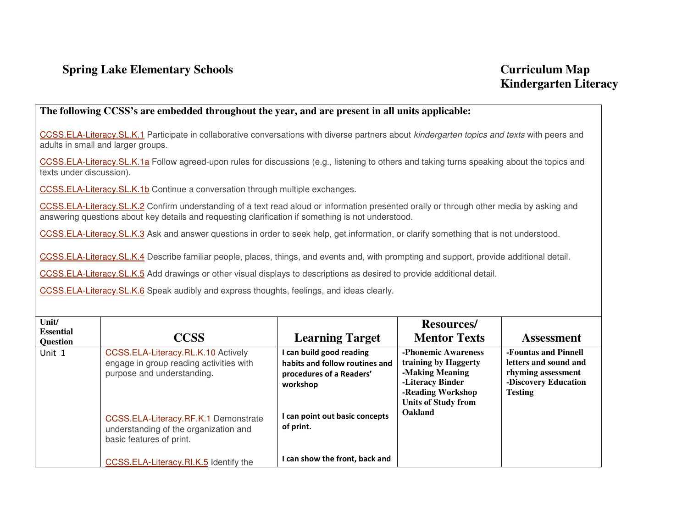## **Spring Lake Elementary Schools Curriculum Map Curriculum Map**

## **The following CCSS's are embedded throughout the year, and are present in all units applicable:**

CCSS.ELA-Literacy.SL.K.1 Participate in collaborative conversations with diverse partners about *kindergarten topics and texts* with peers and adults in small and larger groups.

CCSS.ELA-Literacy.SL.K.1a Follow agreed-upon rules for discussions (e.g., listening to others and taking turns speaking about the topics and texts under discussion).

CCSS.ELA-Literacy.SL.K.1b Continue a conversation through multiple exchanges.

CCSS.ELA-Literacy.SL.K.2 Confirm understanding of a text read aloud or information presented orally or through other media by asking and answering questions about key details and requesting clarification if something is not understood.

CCSS.ELA-Literacy.SL.K.3 Ask and answer questions in order to seek help, get information, or clarify something that is not understood.

CCSS.ELA-Literacy.SL.K.4 Describe familiar people, places, things, and events and, with prompting and support, provide additional detail.

CCSS.ELA-Literacy.SL.K.5 Add drawings or other visual displays to descriptions as desired to provide additional detail.

CCSS.ELA-Literacy.SL.K.6 Speak audibly and express thoughts, feelings, and ideas clearly.

| Unit/<br><b>Essential</b><br>Question | <b>CCSS</b>                                                                                                                                                                                                              | <b>Learning Target</b>                                                                                                                            | <b>Resources</b> /<br><b>Mentor Texts</b>                                                                                                        | <b>Assessment</b>                                                                                             |
|---------------------------------------|--------------------------------------------------------------------------------------------------------------------------------------------------------------------------------------------------------------------------|---------------------------------------------------------------------------------------------------------------------------------------------------|--------------------------------------------------------------------------------------------------------------------------------------------------|---------------------------------------------------------------------------------------------------------------|
| Unit 1                                | CCSS.ELA-Literacy.RL.K.10 Actively<br>engage in group reading activities with<br>purpose and understanding.<br>CCSS.ELA-Literacy.RF.K.1 Demonstrate<br>understanding of the organization and<br>basic features of print. | I can build good reading<br>habits and follow routines and<br>procedures of a Readers'<br>workshop<br>I can point out basic concepts<br>of print. | -Phonemic Awareness<br>training by Haggerty<br>-Making Meaning<br>-Literacy Binder<br>-Reading Workshop<br><b>Units of Study from</b><br>Oakland | -Fountas and Pinnell<br>letters and sound and<br>rhyming assessment<br>-Discovery Education<br><b>Testing</b> |
|                                       | CCSS.ELA-Literacy.RI.K.5 Identify the                                                                                                                                                                                    | I can show the front, back and                                                                                                                    |                                                                                                                                                  |                                                                                                               |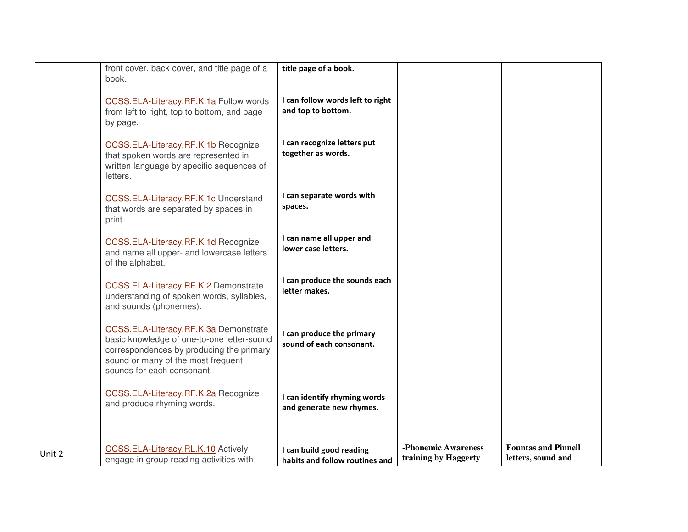|        | front cover, back cover, and title page of a<br>book.                                                                                                                                               | title page of a book.                                      |                                             |                                                  |
|--------|-----------------------------------------------------------------------------------------------------------------------------------------------------------------------------------------------------|------------------------------------------------------------|---------------------------------------------|--------------------------------------------------|
|        | CCSS.ELA-Literacy.RF.K.1a Follow words<br>from left to right, top to bottom, and page<br>by page.                                                                                                   | I can follow words left to right<br>and top to bottom.     |                                             |                                                  |
|        | CCSS.ELA-Literacy.RF.K.1b Recognize<br>that spoken words are represented in<br>written language by specific sequences of<br>letters.                                                                | I can recognize letters put<br>together as words.          |                                             |                                                  |
|        | CCSS.ELA-Literacy.RF.K.1c Understand<br>that words are separated by spaces in<br>print.                                                                                                             | I can separate words with<br>spaces.                       |                                             |                                                  |
|        | CCSS.ELA-Literacy.RF.K.1d Recognize<br>and name all upper- and lowercase letters<br>of the alphabet.                                                                                                | I can name all upper and<br>lower case letters.            |                                             |                                                  |
|        | CCSS.ELA-Literacy.RF.K.2 Demonstrate<br>understanding of spoken words, syllables,<br>and sounds (phonemes).                                                                                         | I can produce the sounds each<br>letter makes.             |                                             |                                                  |
|        | CCSS.ELA-Literacy.RF.K.3a Demonstrate<br>basic knowledge of one-to-one letter-sound<br>correspondences by producing the primary<br>sound or many of the most frequent<br>sounds for each consonant. | I can produce the primary<br>sound of each consonant.      |                                             |                                                  |
|        | CCSS.ELA-Literacy.RF.K.2a Recognize<br>and produce rhyming words.                                                                                                                                   | I can identify rhyming words<br>and generate new rhymes.   |                                             |                                                  |
| Unit 2 | CCSS.ELA-Literacy.RL.K.10 Actively<br>engage in group reading activities with                                                                                                                       | I can build good reading<br>habits and follow routines and | -Phonemic Awareness<br>training by Haggerty | <b>Fountas and Pinnell</b><br>letters, sound and |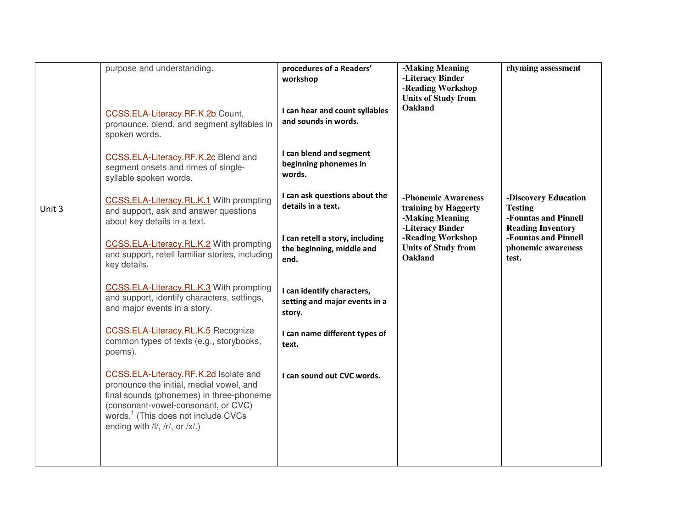|        | purpose and understanding.<br>CCSS.ELA-Literacy.RF.K.2b Count,<br>pronounce, blend, and segment syllables in                                                                                                                                                       | procedures of a Readers'<br>workshop<br>I can hear and count syllables<br>and sounds in words. | -Making Meaning<br>-Literacy Binder<br>-Reading Workshop<br><b>Units of Study from</b><br>Oakland | rhyming assessment                                                                         |
|--------|--------------------------------------------------------------------------------------------------------------------------------------------------------------------------------------------------------------------------------------------------------------------|------------------------------------------------------------------------------------------------|---------------------------------------------------------------------------------------------------|--------------------------------------------------------------------------------------------|
|        | spoken words.<br>CCSS.ELA-Literacy.RF.K.2c Blend and<br>segment onsets and rimes of single-<br>syllable spoken words.                                                                                                                                              | I can blend and segment<br>beginning phonemes in<br>words.                                     |                                                                                                   |                                                                                            |
| Unit 3 | CCSS.ELA-Literacy.RL.K.1 With prompting<br>and support, ask and answer questions<br>about key details in a text.                                                                                                                                                   | I can ask questions about the<br>details in a text.                                            | -Phonemic Awareness<br>training by Haggerty<br>-Making Meaning<br>-Literacy Binder                | -Discovery Education<br><b>Testing</b><br>-Fountas and Pinnell<br><b>Reading Inventory</b> |
|        | CCSS.ELA-Literacy.RL.K.2 With prompting<br>and support, retell familiar stories, including<br>key details.                                                                                                                                                         | I can retell a story, including<br>the beginning, middle and<br>end.                           | -Reading Workshop<br><b>Units of Study from</b><br><b>Oakland</b>                                 | -Fountas and Pinnell<br>phonemic awareness<br>test.                                        |
|        | CCSS.ELA-Literacy.RL.K.3 With prompting<br>and support, identify characters, settings,<br>and major events in a story.                                                                                                                                             | I can identify characters,<br>setting and major events in a<br>story.                          |                                                                                                   |                                                                                            |
|        | CCSS.ELA-Literacy.RL.K.5 Recognize<br>common types of texts (e.g., storybooks,<br>poems).                                                                                                                                                                          | I can name different types of<br>text.                                                         |                                                                                                   |                                                                                            |
|        | CCSS.ELA-Literacy.RF.K.2d Isolate and<br>pronounce the initial, medial vowel, and<br>final sounds (phonemes) in three-phoneme<br>(consonant-vowel-consonant, or CVC)<br>words. <sup>1</sup> (This does not include CVCs<br>ending with $/I/$ , $/r/$ , or $/x/$ .) | I can sound out CVC words.                                                                     |                                                                                                   |                                                                                            |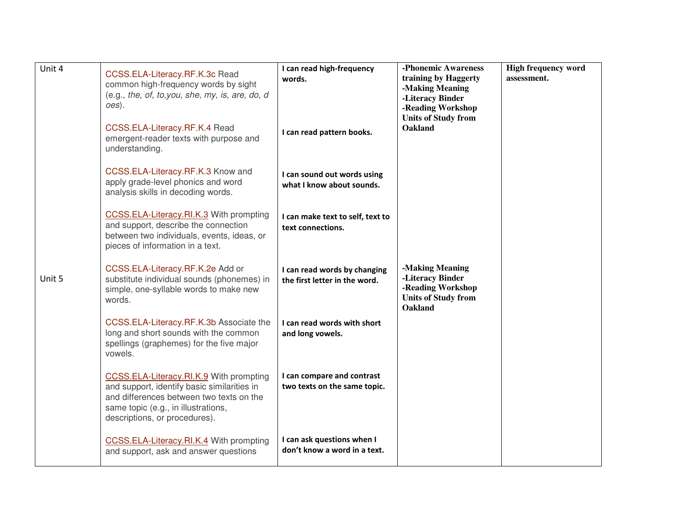| Unit 4 | CCSS.ELA-Literacy.RF.K.3c Read<br>common high-frequency words by sight<br>$(e.g., the, of, to, you, she, my, is, are, do, d)$<br>oes).                                                                     | I can read high-frequency<br>words.                           | -Phonemic Awareness<br>training by Haggerty<br>-Making Meaning<br>-Literacy Binder<br>-Reading Workshop<br><b>Units of Study from</b> | <b>High frequency word</b><br>assessment. |
|--------|------------------------------------------------------------------------------------------------------------------------------------------------------------------------------------------------------------|---------------------------------------------------------------|---------------------------------------------------------------------------------------------------------------------------------------|-------------------------------------------|
|        | CCSS.ELA-Literacy.RF.K.4 Read<br>emergent-reader texts with purpose and<br>understanding.                                                                                                                  | I can read pattern books.                                     | <b>Oakland</b>                                                                                                                        |                                           |
|        | CCSS.ELA-Literacy.RF.K.3 Know and<br>apply grade-level phonics and word<br>analysis skills in decoding words.                                                                                              | I can sound out words using<br>what I know about sounds.      |                                                                                                                                       |                                           |
|        | CCSS.ELA-Literacy.RI.K.3 With prompting<br>and support, describe the connection<br>between two individuals, events, ideas, or<br>pieces of information in a text.                                          | I can make text to self, text to<br>text connections.         |                                                                                                                                       |                                           |
| Unit 5 | CCSS.ELA-Literacy.RF.K.2e Add or<br>substitute individual sounds (phonemes) in<br>simple, one-syllable words to make new<br>words.                                                                         | I can read words by changing<br>the first letter in the word. | -Making Meaning<br>-Literacy Binder<br>-Reading Workshop<br><b>Units of Study from</b><br><b>Oakland</b>                              |                                           |
|        | CCSS.ELA-Literacy.RF.K.3b Associate the<br>long and short sounds with the common<br>spellings (graphemes) for the five major<br>vowels.                                                                    | I can read words with short<br>and long vowels.               |                                                                                                                                       |                                           |
|        | CCSS.ELA-Literacy.RI.K.9 With prompting<br>and support, identify basic similarities in<br>and differences between two texts on the<br>same topic (e.g., in illustrations,<br>descriptions, or procedures). | I can compare and contrast<br>two texts on the same topic.    |                                                                                                                                       |                                           |
|        | CCSS.ELA-Literacy.RI.K.4 With prompting<br>and support, ask and answer questions                                                                                                                           | I can ask questions when I<br>don't know a word in a text.    |                                                                                                                                       |                                           |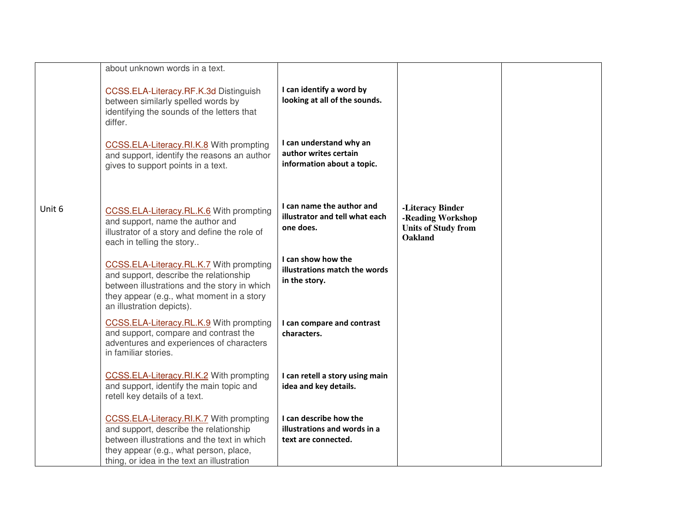|        | about unknown words in a text.                                                                                                                                                                                           |                                                                                |                                                                                       |  |
|--------|--------------------------------------------------------------------------------------------------------------------------------------------------------------------------------------------------------------------------|--------------------------------------------------------------------------------|---------------------------------------------------------------------------------------|--|
|        | CCSS.ELA-Literacy.RF.K.3d Distinguish<br>between similarly spelled words by<br>identifying the sounds of the letters that<br>differ.                                                                                     | I can identify a word by<br>looking at all of the sounds.                      |                                                                                       |  |
|        | CCSS.ELA-Literacy.RI.K.8 With prompting<br>and support, identify the reasons an author<br>gives to support points in a text.                                                                                             | I can understand why an<br>author writes certain<br>information about a topic. |                                                                                       |  |
| Unit 6 | CCSS.ELA-Literacy.RL.K.6 With prompting<br>and support, name the author and<br>illustrator of a story and define the role of<br>each in telling the story                                                                | I can name the author and<br>illustrator and tell what each<br>one does.       | -Literacy Binder<br>-Reading Workshop<br><b>Units of Study from</b><br><b>Oakland</b> |  |
|        | CCSS.ELA-Literacy.RL.K.7 With prompting<br>and support, describe the relationship<br>between illustrations and the story in which<br>they appear (e.g., what moment in a story<br>an illustration depicts).              | I can show how the<br>illustrations match the words<br>in the story.           |                                                                                       |  |
|        | CCSS.ELA-Literacy.RL.K.9 With prompting<br>and support, compare and contrast the<br>adventures and experiences of characters<br>in familiar stories.                                                                     | I can compare and contrast<br>characters.                                      |                                                                                       |  |
|        | CCSS.ELA-Literacy.RI.K.2 With prompting<br>and support, identify the main topic and<br>retell key details of a text.                                                                                                     | I can retell a story using main<br>idea and key details.                       |                                                                                       |  |
|        | CCSS.ELA-Literacy.RI.K.7 With prompting<br>and support, describe the relationship<br>between illustrations and the text in which<br>they appear (e.g., what person, place,<br>thing, or idea in the text an illustration | I can describe how the<br>illustrations and words in a<br>text are connected.  |                                                                                       |  |